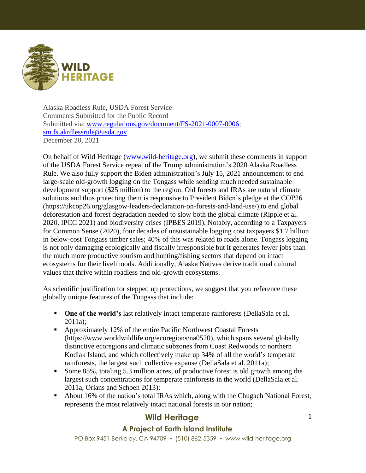

Alaska Roadless Rule, USDA Forest Service Comments Submitted for the Public Record Submitted via: [www.regulations.gov/document/FS-2021-0007-0006;](http://www.regulations.gov/document/FS-2021-0007-0006) [sm.fs.akrdlessrule@usda.gov](mailto:sm.fs.akrdlessrule@usda.gov) December 20, 2021

On behalf of Wild Heritage [\(www.wild-heritage.org\)](http://www.wild-heritage.org/), we submit these comments in support of the USDA Forest Service repeal of the Trump administration's 2020 Alaska Roadless Rule. We also fully support the Biden administration's July 15, 2021 announcement to end large-scale old-growth logging on the Tongass while sending much needed sustainable development support (\$25 million) to the region. Old forests and IRAs are natural climate solutions and thus protecting them is responsive to President Biden's pledge at the COP26 (https://ukcop26.org/glasgow-leaders-declaration-on-forests-and-land-use/) to end global deforestation and forest degradation needed to slow both the global climate (Ripple et al. 2020, IPCC 2021) and biodiversity crises (IPBES 2019). Notably, according to a Taxpayers for Common Sense (2020), four decades of unsustainable logging cost taxpayers \$1.7 billion in below-cost Tongass timber sales; 40% of this was related to roads alone. Tongass logging is not only damaging ecologically and fiscally irresponsible but it generates fewer jobs than the much more productive tourism and hunting/fishing sectors that depend on intact ecosystems for their livelihoods. Additionally, Alaska Natives derive traditional cultural values that thrive within roadless and old-growth ecosystems.

As scientific justification for stepped up protections, we suggest that you reference these globally unique features of the Tongass that include:

- **One of the world's** last relatively intact temperate rainforests (DellaSala et al. 2011a);
- Approximately 12% of the entire Pacific Northwest Coastal Forests (https://www.worldwildlife.org/ecoregions/na0520), which spans several globally distinctive ecoregions and climatic subzones from Coast Redwoods to northern Kodiak Island, and which collectively make up 34% of all the world's temperate rainforests, the largest such collective expanse (DellaSala et al. 2011a);
- Some 85%, totaling 5.3 million acres, of productive forest is old growth among the largest such concentrations for temperate rainforests in the world (DellaSala et al. 2011a, Orians and Schoen 2013);
- About 16% of the nation's total IRAs which, along with the Chugach National Forest, represents the most relatively intact national forests in our nation;

# **Wild Heritage**

### **A Project of Earth Island Institute**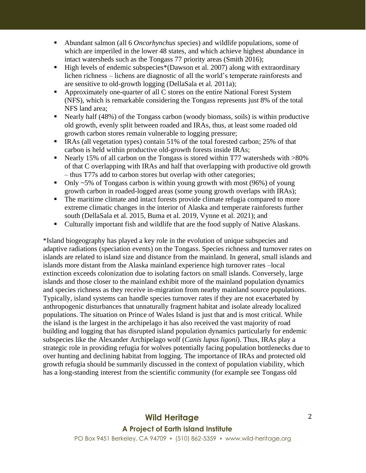- Abundant salmon (all 6 *Oncorhynchus* species) and wildlife populations, some of which are imperiled in the lower 48 states, and which achieve highest abundance in intact watersheds such as the Tongass 77 priority areas (Smith 2016);
- High levels of endemic subspecies\*(Dawson et al. 2007) along with extraordinary lichen richness – lichens are diagnostic of all the world's temperate rainforests and are sensitive to old-growth logging (DellaSala et al. 2011a);
- **EXECUTE:** Approximately one-quarter of all C stores on the entire National Forest System (NFS), which is remarkable considering the Tongass represents just 8% of the total NFS land area;
- Nearly half (48%) of the Tongass carbon (woody biomass, soils) is within productive old growth, evenly split between roaded and IRAs, thus, at least some roaded old growth carbon stores remain vulnerable to logging pressure;
- IRAs (all vegetation types) contain 51% of the total forested carbon; 25% of that carbon is held within productive old-growth forests inside IRAs;
- Nearly 15% of all carbon on the Tongass is stored within T77 watersheds with >80% of that C overlapping with IRAs and half that overlapping with productive old growth – thus T77s add to carbon stores but overlap with other categories;
- Only  $\sim$  5% of Tongass carbon is within young growth with most (96%) of young growth carbon in roaded-logged areas (some young growth overlaps with IRAs);
- The maritime climate and intact forests provide climate refugia compared to more extreme climatic changes in the interior of Alaska and temperate rainforests further south (DellaSala et al. 2015, Buma et al. 2019, Vynne et al. 2021); and
- Culturally important fish and wildlife that are the food supply of Native Alaskans.

\*Island biogeography has played a key role in the evolution of unique subspecies and adaptive radiations (speciation events) on the Tongass. Species richness and turnover rates on islands are related to island size and distance from the mainland. In general, small islands and islands more distant from the Alaska mainland experience high turnover rates –local extinction exceeds colonization due to isolating factors on small islands. Conversely, large islands and those closer to the mainland exhibit more of the mainland population dynamics and species richness as they receive in-migration from nearby mainland source populations. Typically, island systems can handle species turnover rates if they are not exacerbated by anthropogenic disturbances that unnaturally fragment habitat and isolate already localized populations. The situation on Prince of Wales Island is just that and is most critical. While the island is the largest in the archipelago it has also received the vast majority of road building and logging that has disrupted island population dynamics particularly for endemic subspecies like the Alexander Archipelago wolf (*Canis lupus ligoni*). Thus, IRAs play a strategic role in providing refugia for wolves potentially facing population bottlenecks due to over hunting and declining habitat from logging. The importance of IRAs and protected old growth refugia should be summarily discussed in the context of population viability, which has a long-standing interest from the scientific community (for example see Tongass old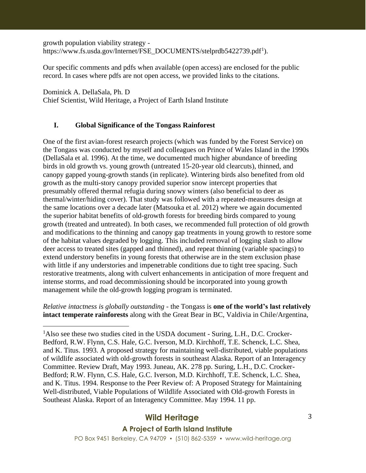growth population viability strategy https://www.fs.usda.gov/Internet/FSE\_DOCUMENTS/stelprdb5422739.pdf<sup>1</sup>).

Our specific comments and pdfs when available (open access) are enclosed for the public record. In cases where pdfs are not open access, we provided links to the citations.

Dominick A. DellaSala, Ph. D Chief Scientist, Wild Heritage, a Project of Earth Island Institute

#### **I. Global Significance of the Tongass Rainforest**

One of the first avian-forest research projects (which was funded by the Forest Service) on the Tongass was conducted by myself and colleagues on Prince of Wales Island in the 1990s (DellaSala et al. 1996). At the time, we documented much higher abundance of breeding birds in old growth vs. young growth (untreated 15-20-year old clearcuts), thinned, and canopy gapped young-growth stands (in replicate). Wintering birds also benefited from old growth as the multi-story canopy provided superior snow intercept properties that presumably offered thermal refugia during snowy winters (also beneficial to deer as thermal/winter/hiding cover). That study was followed with a repeated-measures design at the same locations over a decade later (Matsouka et al. 2012) where we again documented the superior habitat benefits of old-growth forests for breeding birds compared to young growth (treated and untreated). In both cases, we recommended full protection of old growth and modifications to the thinning and canopy gap treatments in young growth to restore some of the habitat values degraded by logging. This included removal of logging slash to allow deer access to treated sites (gapped and thinned), and repeat thinning (variable spacings) to extend understory benefits in young forests that otherwise are in the stem exclusion phase with little if any understories and impenetrable conditions due to tight tree spacing. Such restorative treatments, along with culvert enhancements in anticipation of more frequent and intense storms, and road decommissioning should be incorporated into young growth management while the old-growth logging program is terminated.

*Relative intactness is globally outstanding* - the Tongass is **one of the world's last relatively intact temperate rainforests** along with the Great Bear in BC, Valdivia in Chile/Argentina,

### **Wild Heritage A Project of Earth Island Institute**

<sup>&</sup>lt;sup>1</sup>Also see these two studies cited in the USDA document - Suring, L.H., D.C. Crocker-Bedford, R.W. Flynn, C.S. Hale, G.C. Iverson, M.D. Kirchhoff, T.E. Schenck, L.C. Shea, and K. Titus. 1993. A proposed strategy for maintaining well-distributed, viable populations of wildlife associated with old-growth forests in southeast Alaska. Report of an Interagency Committee. Review Draft, May 1993. Juneau, AK. 278 pp. Suring, L.H., D.C. Crocker-Bedford; R.W. Flynn, C.S. Hale, G.C. Iverson, M.D. Kirchhoff, T.E. Schenck, L.C. Shea, and K. Titus. 1994. Response to the Peer Review of: A Proposed Strategy for Maintaining Well-distributed, Viable Populations of Wildlife Associated with Old-growth Forests in Southeast Alaska. Report of an Interagency Committee. May 1994. 11 pp.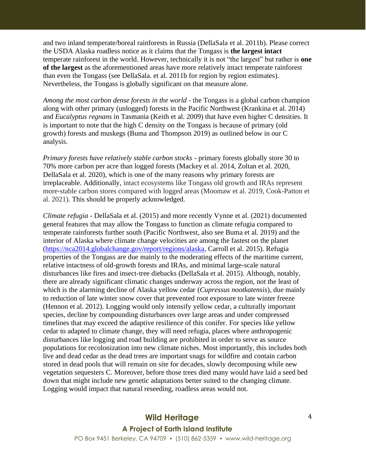and two inland temperate/boreal rainforests in Russia (DellaSala et al. 2011b). Please correct the USDA Alaska roadless notice as it claims that the Tongass is **the largest intact** temperate rainforest in the world. However, technically it is not "the largest" but rather is **one of the largest** as the aforementioned areas have more relatively intact temperate rainforest than even the Tongass (see DellaSala. et al. 2011b for region by region estimates). Nevertheless, the Tongass is globally significant on that measure alone.

*Among the most carbon dense forests in the world* - the Tongass is a global carbon champion along with other primary (unlogged) forests in the Pacific Northwest (Krankina et al. 2014) and *Eucalyptus regnans* in Tasmania (Keith et al. 2009) that have even higher C densities. It is important to note that the high C density on the Tongass is because of primary (old growth) forests and muskegs (Buma and Thompson 2019) as outlined below in our C analysis.

*Primary forests have relatively stable carbon stocks* - primary forests globally store 30 to 70% more carbon per acre than logged forests (Mackey et al. 2014, Zoltan et al. 2020, DellaSala et al. 2020), which is one of the many reasons why primary forests are irreplaceable. Additionally, intact ecosystems like Tongass old growth and IRAs represent more-stable carbon stores compared with logged areas (Moomaw et al. 2019, Cook-Patton et al. 2021). This should be properly acknowledged.

*Climate refugia* - DellaSala et al. (2015) and more recently Vynne et al. (2021) documented general features that may allow the Tongass to function as climate refugia compared to temperate rainforests further south (Pacific Northwest, also see Buma et al. 2019) and the interior of Alaska where climate change velocities are among the fastest on the planet [\(https://nca2014.globalchange.gov/report/regions/alaska,](https://nca2014.globalchange.gov/report/regions/alaska) Carroll et al. 2015). Refugia properties of the Tongass are due mainly to the moderating effects of the maritime current, relative intactness of old-growth forests and IRAs, and minimal large-scale natural disturbances like fires and insect-tree diebacks (DellaSala et al. 2015). Although, notably, there are already significant climatic changes underway across the region, not the least of which is the alarming decline of Alaska yellow cedar (*Cupressus nootkatensis*), due mainly to reduction of late winter snow cover that prevented root exposure to late winter freeze (Hennon et al. 2012). Logging would only intensify yellow cedar, a culturally important species, decline by compounding disturbances over large areas and under compressed timelines that may exceed the adaptive resilience of this conifer. For species like yellow cedar to adapted to climate change, they will need refugia, places where anthropogenic disturbances like logging and road building are prohibited in order to serve as source populations for recolonization into new climate niches. Most importantly, this includes both live and dead cedar as the dead trees are important snags for wildfire and contain carbon stored in dead pools that will remain on site for decades, slowly decomposing while new vegetation sequesters C. Moreover, before those trees died many would have laid a seed bed down that might include new genetic adaptations better suited to the changing climate. Logging would impact that natural reseeding, roadless areas would not.

### **Wild Heritage A Project of Earth Island Institute** PO Box 9451 Berkeley, CA 94709 ▪ (510) 862-5359 ▪ www.wild-heritage.org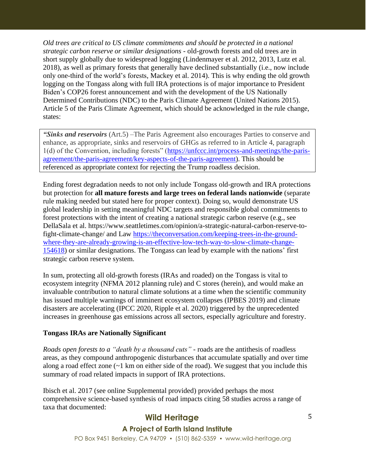*Old trees are critical to US climate commitments and should be protected in a national strategic carbon reserve or similar designations* - old-growth forests and old trees are in short supply globally due to widespread logging (Lindenmayer et al. 2012, 2013, Lutz et al. 2018), as well as primary forests that generally have declined substantially (i.e., now include only one-third of the world's forests, Mackey et al. 2014). This is why ending the old growth logging on the Tongass along with full IRA protections is of major importance to President Biden's COP26 forest announcement and with the development of the US Nationally Determined Contributions (NDC) to the Paris Climate Agreement (United Nations 2015). Article 5 of the Paris Climate Agreement, which should be acknowledged in the rule change, states:

*"Sinks and reservoirs* (Art.5) –The Paris Agreement also encourages Parties to conserve and enhance, as appropriate, sinks and reservoirs of GHGs as referred to in Article 4, paragraph 1(d) of the Convention, including forests" [\(https://unfccc.int/process-and-meetings/the-paris](https://unfccc.int/process-and-meetings/the-paris-agreement/the-paris-agreement/key-aspects-of-the-paris-agreement)[agreement/the-paris-agreement/key-aspects-of-the-paris-agreement\)](https://unfccc.int/process-and-meetings/the-paris-agreement/the-paris-agreement/key-aspects-of-the-paris-agreement). This should be referenced as appropriate context for rejecting the Trump roadless decision.

Ending forest degradation needs to not only include Tongass old-growth and IRA protections but protection for **all mature forests and large trees on federal lands nationwide** (separate rule making needed but stated here for proper context). Doing so, would demonstrate US global leadership in setting meaningful NDC targets and responsible global commitments to forest protections with the intent of creating a national strategic carbon reserve (e.g., see DellaSala et al. https://www.seattletimes.com/opinion/a-strategic-natural-carbon-reserve-tofight-climate-change/ and Law [https://theconversation.com/keeping-trees-in-the-ground](https://theconversation.com/keeping-trees-in-the-ground-where-they-are-already-growing-is-an-effective-low-tech-way-to-slow-climate-change-154618)[where-they-are-already-growing-is-an-effective-low-tech-way-to-slow-climate-change-](https://theconversation.com/keeping-trees-in-the-ground-where-they-are-already-growing-is-an-effective-low-tech-way-to-slow-climate-change-154618)[154618\)](https://theconversation.com/keeping-trees-in-the-ground-where-they-are-already-growing-is-an-effective-low-tech-way-to-slow-climate-change-154618) or similar designations. The Tongass can lead by example with the nations' first strategic carbon reserve system.

In sum, protecting all old-growth forests (IRAs and roaded) on the Tongass is vital to ecosystem integrity (NFMA 2012 planning rule) and C stores (herein), and would make an invaluable contribution to natural climate solutions at a time when the scientific community has issued multiple warnings of imminent ecosystem collapses (IPBES 2019) and climate disasters are accelerating (IPCC 2020, Ripple et al. 2020) triggered by the unprecedented increases in greenhouse gas emissions across all sectors, especially agriculture and forestry.

### **Tongass IRAs are Nationally Significant**

*Roads open forests to a "death by a thousand cuts"* - roads are the antithesis of roadless areas, as they compound anthropogenic disturbances that accumulate spatially and over time along a road effect zone (~1 km on either side of the road). We suggest that you include this summary of road related impacts in support of IRA protections.

Ibisch et al. 2017 (see online Supplemental provided) provided perhaps the most comprehensive science-based synthesis of road impacts citing 58 studies across a range of taxa that documented:

# **Wild Heritage**

### **A Project of Earth Island Institute**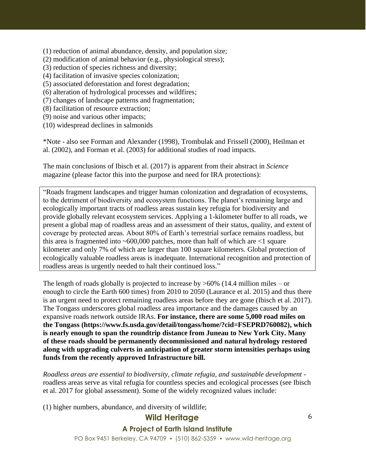(1) reduction of animal abundance, density, and population size;

(2) modification of animal behavior (e.g., physiological stress);

- (3) reduction of species richness and diversity;
- (4) facilitation of invasive species colonization;
- (5) associated deforestation and forest degradation;
- (6) alteration of hydrological processes and wildfires;
- (7) changes of landscape patterns and fragmentation;
- (8) facilitation of resource extraction;
- (9) noise and various other impacts;
- (10) widespread declines in salmonids

\*Note - also see Forman and Alexander (1998), Trombulak and Frissell (2000), Heilman et al. (2002), and Forman et al. (2003) for additional studies of road impacts.

The main conclusions of Ibisch et al. (2017) is apparent from their abstract in *Science* magazine (please factor this into the purpose and need for IRA protections):

"Roads fragment landscapes and trigger human colonization and degradation of ecosystems, to the detriment of biodiversity and ecosystem functions. The planet's remaining large and ecologically important tracts of roadless areas sustain key refugia for biodiversity and provide globally relevant ecosystem services. Applying a 1-kilometer buffer to all roads, we present a global map of roadless areas and an assessment of their status, quality, and extent of coverage by protected areas. About 80% of Earth's terrestrial surface remains roadless, but this area is fragmented into  $\sim 600,000$  patches, more than half of which are  $\leq 1$  square kilometer and only 7% of which are larger than 100 square kilometers. Global protection of ecologically valuable roadless areas is inadequate. International recognition and protection of roadless areas is urgently needed to halt their continued loss."

The length of roads globally is projected to increase by  $>60\%$  (14.4 million miles – or enough to circle the Earth 600 times) from 2010 to 2050 (Laurance et al. 2015) and thus there is an urgent need to protect remaining roadless areas before they are gone (Ibisch et al. 2017). The Tongass underscores global roadless area importance and the damages caused by an expansive roads network outside IRAs. **For instance, there are some 5,000 road miles on the Tongass (https://www.fs.usda.gov/detail/tongass/home/?cid=FSEPRD760082), which is nearly enough to span the roundtrip distance from Juneau to New York City. Many of these roads should be permanently decommissioned and natural hydrology restored along with upgrading culverts in anticipation of greater storm intensities perhaps using funds from the recently approved Infrastructure bill.**

*Roadless areas are essential to biodiversity, climate refugia, and sustainable development* roadless areas serve as vital refugia for countless species and ecological processes (see Ibisch et al. 2017 for global assessment). Some of the widely recognized values include:

(1) higher numbers, abundance, and diversity of wildlife;

# **Wild Heritage A Project of Earth Island Institute**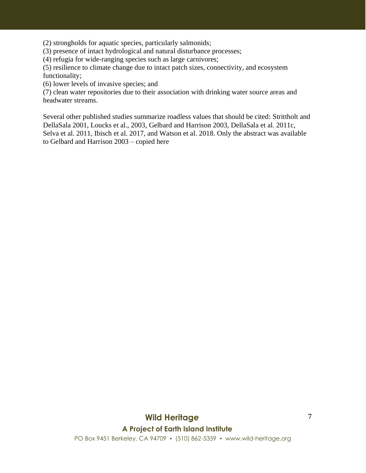(2) strongholds for aquatic species, particularly salmonids;

(3) presence of intact hydrological and natural disturbance processes;

(4) refugia for wide-ranging species such as large carnivores;

(5) resilience to climate change due to intact patch sizes, connectivity, and ecosystem functionality;

(6) lower levels of invasive species; and

(7) clean water repositories due to their association with drinking water source areas and headwater streams.

Several other published studies summarize roadless values that should be cited: Strittholt and DellaSala 2001, Loucks et al., 2003, Gelbard and Harrison 2003, DellaSala et al. 2011c, Selva et al. 2011, Ibisch et al. 2017, and Watson et al. 2018. Only the abstract was available to Gelbard and Harrison 2003 – copied here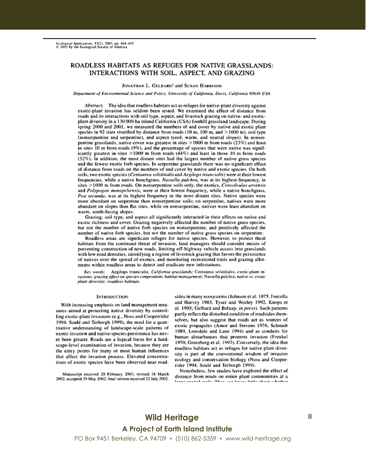#### ROADLESS HABITATS AS REFUGES FOR NATIVE GRASSLANDS: INTERACTIONS WITH SOIL, ASPECT, AND GRAZING

#### JONATHAN L. GELBARD<sup>1</sup> and SUSAN HARRISON

Department of Environmental Science and Policy. University of California, Davis, California 95616 USA

Abstract. The idea that roadless habitats act as refuges for native-plant diversity against exotic-plant invasion has seldom been tested. We examined the effect of distance from roads and its interactions with soil type, aspect, and livestock grazing on native- and exoticplant diversity in a 130 000-ha inland California (USA) foothill grassland landscape. During spring 2000 and 2001, we measured the numbers of and cover by native and exotic plant species in 92 sites stratified by distance from roads  $(10 \text{ m}, 100 \text{ m}, \text{and} > 1000 \text{ m})$ , soil type (nonserpentine and serpentine), and aspect (cool, warm, and neutral slopes). In nonserpentine grasslands, native cover was greatest in sites >1000 m from roads (23%) and least in sites 10 m from roads (9%), and the percentage of species that were native was significantly greatest in sites >1000 m from roads (44%) and least in those 10 m from roads  $(32\%)$ . In addition, the most distant sites had the largest number of native grass species and the fewest exotic forb species. In serpentine grasslands there was no significant effect of distance from roads on the numbers of and cover by native and exotic species. On both soils, two exotic species (Centaurea solstitialis and Aegilops triuncialis) were at their lowest frequencies, while a native bunchgrass, Nassella pulchra, was at its highest frequency, in sites >1000 m from roads. On nonserpentine soils only, the exotics, Convolvulus arvensis and Polypogon monspeliensis, were at their lowest frequency, while a native bunchgrass, Poa secunda, was at its highest frequency in the most distant sites. Native species were more abundant on serpentine than nonserpentine soils; on serpentine, natives were more abundant on slopes than flat sites, while on nonserpentine, natives were least abundant on warm, south-facing slopes.

Grazing, soil type, and aspect all significantly interacted in their effects on native and exotic richness and cover. Grazing negatively affected the number of native grass species, but not the number of native forb species on nonserpentine, and positively affected the number of native forb species, but not the number of native grass species on serpentine.

Roadless areas are significant refuges for native species. However, to protect these habitats from the continued threat of invasion, land managers should consider means of preventing construction of new roads, limiting off-highway vehicle access into grasslands with low road densities, identifying a regime of livestock grazing that favors the persistence of natives over the spread of exotics, and monitoring recreational trails and grazing allotments within roadless areas to detect and eradicate new infestations.

Key words: Aegilops triuncialis; California grasslands; Centaurea solstitialis; exotic-plant invasions; grazing effect on species composition; habital management; Nassella pulchra; native vs. exotic plant diversity; roadless habitats.

#### **INTRODUCTION**

With increasing emphasis on land management measures aimed at protecting native diversity by controlling exotic-plant invasions (e.g., Noss and Cooperrider 1994, Soulé and Terborgh 1999), the need for a quantitative understanding of landscape-scale patterns of exotic invasion and native-species persistence has never been greater. Roads are a logical focus for a landscape-level examination of invasion, because they are the entry points for many or most human influences that affect the invasion process. Elevated concentrations of exotic species have been observed near road-

Manuscript received 20 February 2001; revised 18 March 2002; accepted 29 May 2002; final version received 22 July 2002.

sides in many ecosystems (Johnson et al. 1975, Forcella and Harvey 1983, Tyser and Worley 1992, Knops et al. 1995; Gelbard and Belnap, in press). Such patterns partly reflect the disturbed condition of roadsides themselves, but also suggest that roads act as sources of exotic propagules (Amor and Stevens 1976, Schmidt 1989, Lonsdale and Lane 1994) and as conduits for human disturbances that promote invasion (Frenkel 1970, Greenberg et al. 1997). Conversely, the idea that roadless habitats act as refuges for native plant diversity is part of the conventional wisdom of invasion ecology and conservation biology (Noss and Cooperrider 1994, Soulé and Terborgh 1999).

Nonetheless, few studies have explored the effect of distance from roads on entire plant communities at a ومسالات والمحر الماد ... L a Kasta alawan sakartha

# **Wild Heritage A Project of Earth Island Institute**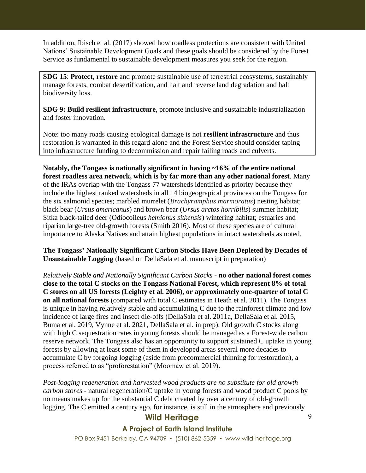In addition, Ibisch et al. (2017) showed how roadless protections are consistent with United Nations' Sustainable Development Goals and these goals should be considered by the Forest Service as fundamental to sustainable development measures you seek for the region.

**SDG 15**: **Protect, restore** and promote sustainable use of terrestrial ecosystems, sustainably manage forests, combat desertification, and halt and reverse land degradation and halt biodiversity loss.

**SDG 9: Build resilient infrastructure**, promote inclusive and sustainable industrialization and foster innovation.

Note: too many roads causing ecological damage is not **resilient infrastructure** and thus restoration is warranted in this regard alone and the Forest Service should consider taping into infrastructure funding to decommission and repair failing roads and culverts.

**Notably, the Tongass is nationally significant in having ~16% of the entire national forest roadless area network, which is by far more than any other national forest**. Many of the IRAs overlap with the Tongass 77 watersheds identified as priority because they include the highest ranked watersheds in all 14 biogeograpical provinces on the Tongass for the six salmonid species; marbled murrelet (*Brachyramphus marmoratus*) nesting habitat; black bear (*Ursus americanus*) and brown bear (*Ursus arctos horribilis*) summer habitat; Sitka black-tailed deer (Odiocoileus *hemionus sitkensis*) wintering habitat; estuaries and riparian large-tree old-growth forests (Smith 2016). Most of these species are of cultural importance to Alaska Natives and attain highest populations in intact watersheds as noted.

**The Tongass' Nationally Significant Carbon Stocks Have Been Depleted by Decades of Unsustainable Logging** (based on DellaSala et al. manuscript in preparation)

*Relatively Stable and Nationally Significant Carbon Stocks* **- no other national forest comes close to the total C stocks on the Tongass National Forest, which represent 8% of total C stores on all US forests (Leighty et al. 2006), or approximately one-quarter of total C on all national forests** (compared with total C estimates in Heath et al. 2011). The Tongass is unique in having relatively stable and accumulating C due to the rainforest climate and low incidence of large fires and insect die-offs (DellaSala et al. 2011a, DellaSala et al. 2015, Buma et al. 2019, Vynne et al. 2021, DellaSala et al. in prep). Old growth C stocks along with high C sequestration rates in young forests should be managed as a Forest-wide carbon reserve network. The Tongass also has an opportunity to support sustained C uptake in young forests by allowing at least some of them in developed areas several more decades to accumulate C by forgoing logging (aside from precommercial thinning for restoration), a process referred to as "proforestation" (Moomaw et al. 2019).

*Post-logging regeneration and harvested wood products are no substitute for old growth carbon stores* - natural regeneration/C uptake in young forests and wood product C pools by no means makes up for the substantial C debt created by over a century of old-growth logging. The C emitted a century ago, for instance, is still in the atmosphere and previously

# **Wild Heritage**

### **A Project of Earth Island Institute**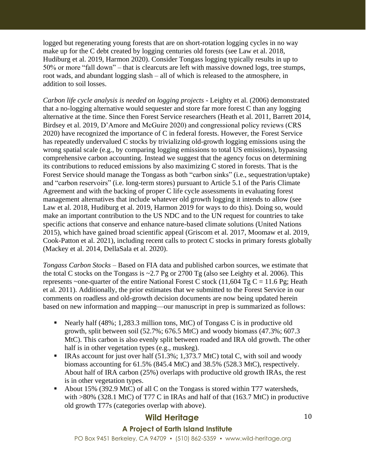logged but regenerating young forests that are on short-rotation logging cycles in no way make up for the C debt created by logging centuries old forests (see Law et al. 2018, Hudiburg et al. 2019, Harmon 2020). Consider Tongass logging typically results in up to 50% or more "fall down" – that is clearcuts are left with massive downed logs, tree stumps, root wads, and abundant logging slash – all of which is released to the atmosphere, in addition to soil losses.

*Carbon life cycle analysis is needed on logging projects* - Leighty et al. (2006) demonstrated that a no-logging alternative would sequester and store far more forest C than any logging alternative at the time. Since then Forest Service researchers (Heath et al. 2011, Barrett 2014, Birdsey et al. 2019, D'Amore and McGuire 2020) and congressional policy reviews (CRS 2020) have recognized the importance of C in federal forests. However, the Forest Service has repeatedly undervalued C stocks by trivializing old-growth logging emissions using the wrong spatial scale (e.g., by comparing logging emissions to total US emissions), bypassing comprehensive carbon accounting. Instead we suggest that the agency focus on determining its contributions to reduced emissions by also maximizing C stored in forests. That is the Forest Service should manage the Tongass as both "carbon sinks" (i.e., sequestration/uptake) and "carbon reservoirs" (i.e. long-term stores) pursuant to Article 5.1 of the Paris Climate Agreement and with the backing of proper C life cycle assessments in evaluating forest management alternatives that include whatever old growth logging it intends to allow (see Law et al. 2018, Hudiburg et al. 2019, Harmon 2019 for ways to do this). Doing so, would make an important contribution to the US NDC and to the UN request for countries to take specific actions that conserve and enhance nature-based climate solutions (United Nations 2015), which have gained broad scientific appeal (Griscom et al. 2017, Moomaw et al. 2019, Cook-Patton et al. 2021), including recent calls to protect C stocks in primary forests globally (Mackey et al. 2014, DellaSala et al. 2020).

*Tongass Carbon Stocks –* Based on FIA data and published carbon sources, we estimate that the total C stocks on the Tongass is  $\sim$  2.7 Pg or 2700 Tg (also see Leighty et al. 2006). This represents ~one-quarter of the entire National Forest C stock (11,604 Tg C = 11.6 Pg; Heath et al. 2011). Additionally, the prior estimates that we submitted to the Forest Service in our comments on roadless and old-growth decision documents are now being updated herein based on new information and mapping—our manuscript in prep is summarized as follows:

- E Nearly half  $(48\%; 1,283.3 \text{ million tons}, \text{MtC})$  of Tongass C is in productive old growth, split between soil (52.7%; 676.5 MtC) and woody biomass (47.3%; 607.3 MtC). This carbon is also evenly split between roaded and IRA old growth. The other half is in other vegetation types (e.g., muskeg).
- **EXECUTE:** IRAs account for just over half  $(51.3\%; 1,373.7 \text{ MtC})$  total C, with soil and woody biomass accounting for 61.5% (845.4 MtC) and 38.5% (528.3 MtC), respectively. About half of IRA carbon (25%) overlaps with productive old growth IRAs, the rest is in other vegetation types.
- About 15% (392.9 MtC) of all C on the Tongass is stored within T77 watersheds, with >80% (328.1 MtC) of T77 C in IRAs and half of that (163.7 MtC) in productive old growth T77s (categories overlap with above).

# **Wild Heritage**

### **A Project of Earth Island Institute**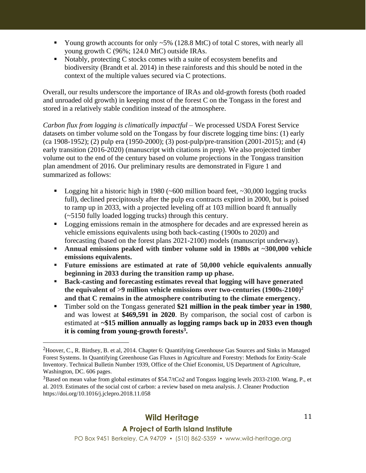- **E** Young growth accounts for only  $\sim$  5% (128.8 MtC) of total C stores, with nearly all young growth C (96%; 124.0 MtC) outside IRAs.
- Notably, protecting C stocks comes with a suite of ecosystem benefits and biodiversity (Brandt et al. 2014) in these rainforests and this should be noted in the context of the multiple values secured via C protections.

Overall, our results underscore the importance of IRAs and old-growth forests (both roaded and unroaded old growth) in keeping most of the forest C on the Tongass in the forest and stored in a relatively stable condition instead of the atmosphere.

*Carbon flux from logging is climatically impactful* – We processed USDA Forest Service datasets on timber volume sold on the Tongass by four discrete logging time bins: (1) early (ca 1908-1952); (2) pulp era (1950-2000); (3) post-pulp/pre-transition (2001-2015); and (4) early transition (2016-2020) (manuscript with citations in prep). We also projected timber volume out to the end of the century based on volume projections in the Tongass transition plan amendment of 2016. Our preliminary results are demonstrated in Figure 1 and summarized as follows:

- **•** Logging hit a historic high in 1980 ( $\sim 600$  million board feet,  $\sim 30,000$  logging trucks full), declined precipitously after the pulp era contracts expired in 2000, but is poised to ramp up in 2033, with a projected leveling off at 103 million board ft annually (~5150 fully loaded logging trucks) through this century.
- Logging emissions remain in the atmosphere for decades and are expressed herein as vehicle emissions equivalents using both back-casting (1900s to 2020) and forecasting (based on the forest plans 2021-2100) models (manuscript underway).
- **Annual emissions peaked with timber volume sold in 1980s at ~300,000 vehicle emissions equivalents.**
- **Future emissions are estimated at rate of 50,000 vehicle equivalents annually beginning in 2033 during the transition ramp up phase.**
- **Back-casting and forecasting estimates reveal that logging will have generated the equivalent of >9 million vehicle emissions over two-centuries (1900s-2100)<sup>2</sup> and that C remains in the atmosphere contributing to the climate emergency.**
- Timber sold on the Tongass generated **\$21 million in the peak timber year in 1980**, and was lowest at **\$469,591 in 2020**. By comparison, the social cost of carbon is estimated at **~\$15 million annually as logging ramps back up in 2033 even though it is coming from young-growth forests<sup>3</sup> .**

 ${}^{2}$ Hoover, C., R. Birdsey, B. et al, 2014. Chapter 6: Quantifying Greenhouse Gas Sources and Sinks in Managed Forest Systems. In Quantifying Greenhouse Gas Fluxes in Agriculture and Forestry: Methods for Entity‐Scale Inventory. Technical Bulletin Number 1939, Office of the Chief Economist, US Department of Agriculture, Washington, DC. 606 pages.

<sup>3</sup>Based on mean value from global estimates of \$54.7/tCo2 and Tongass logging levels 2033-2100. Wang, P., et al. 2019. Estimates of the social cost of carbon: a review based on meta analysis. J. Cleaner Production https://doi.org/10.1016/j.jclepro.2018.11.058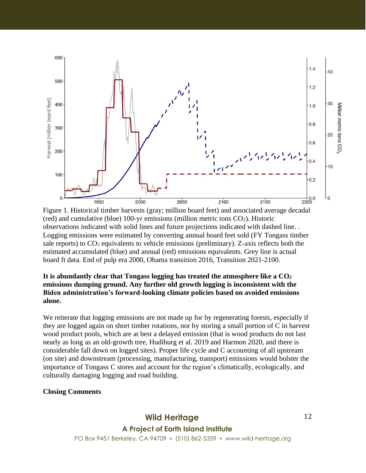

Figure 1. Historical timber harvests (gray; million board feet) and associated average decadal (red) and cumulative (blue) 100-yr emissions (million metric tons  $CO<sub>2</sub>$ ). Historic observations indicated with solid lines and future projections indicated with dashed line. . Logging emissions were estimated by converting annual board feet sold (FY Tongass timber sale reports) to CO<sup>2</sup> equivalents to vehicle emissions (preliminary). Z-axis reflects both the estimated accumulated (blue) and annual (red) emissions equivalents. Grey line is actual board ft data. End of pulp era 2000, Obama transition 2016, Transition 2021-2100.

#### **It is abundantly clear that Tongass logging has treated the atmosphere like a CO<sup>2</sup> emissions dumping ground. Any further old growth logging is inconsistent with the Biden administration's forward-looking climate policies based on avoided emissions alone.**

We reiterate that logging emissions are not made up for by regenerating forests, especially if they are logged again on short timber rotations, nor by storing a small portion of C in harvest wood product pools, which are at best a delayed emission (that is wood products do not last nearly as long as an old-growth tree, Hudiburg et al. 2019 and Harmon 2020, and there is considerable fall down on logged sites). Proper life cycle and C accounting of all upstream (on site) and downstream (processing, manufacturing, transport) emissions would bolster the importance of Tongass C stores and account for the region's climatically, ecologically, and culturally damaging logging and road building.

#### **Closing Comments**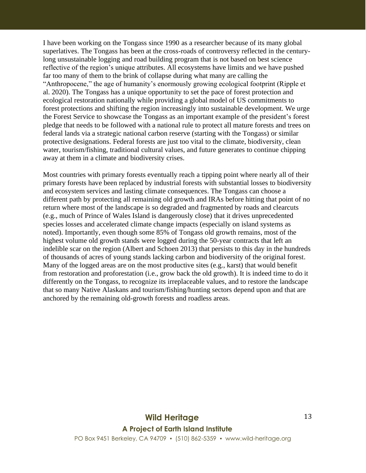I have been working on the Tongass since 1990 as a researcher because of its many global superlatives. The Tongass has been at the cross-roads of controversy reflected in the centurylong unsustainable logging and road building program that is not based on best science reflective of the region's unique attributes. All ecosystems have limits and we have pushed far too many of them to the brink of collapse during what many are calling the "Anthropocene," the age of humanity's enormously growing ecological footprint (Ripple et al. 2020). The Tongass has a unique opportunity to set the pace of forest protection and ecological restoration nationally while providing a global model of US commitments to forest protections and shifting the region increasingly into sustainable development. We urge the Forest Service to showcase the Tongass as an important example of the president's forest pledge that needs to be followed with a national rule to protect all mature forests and trees on federal lands via a strategic national carbon reserve (starting with the Tongass) or similar protective designations. Federal forests are just too vital to the climate, biodiversity, clean water, tourism/fishing, traditional cultural values, and future generates to continue chipping away at them in a climate and biodiversity crises.

Most countries with primary forests eventually reach a tipping point where nearly all of their primary forests have been replaced by industrial forests with substantial losses to biodiversity and ecosystem services and lasting climate consequences. The Tongass can choose a different path by protecting all remaining old growth and IRAs before hitting that point of no return where most of the landscape is so degraded and fragmented by roads and clearcuts (e.g., much of Prince of Wales Island is dangerously close) that it drives unprecedented species losses and accelerated climate change impacts (especially on island systems as noted). Importantly, even though some 85% of Tongass old growth remains, most of the highest volume old growth stands were logged during the 50-year contracts that left an indelible scar on the region (Albert and Schoen 2013) that persists to this day in the hundreds of thousands of acres of young stands lacking carbon and biodiversity of the original forest. Many of the logged areas are on the most productive sites (e.g., karst) that would benefit from restoration and proforestation (i.e., grow back the old growth). It is indeed time to do it differently on the Tongass, to recognize its irreplaceable values, and to restore the landscape that so many Native Alaskans and tourism/fishing/hunting sectors depend upon and that are anchored by the remaining old-growth forests and roadless areas.

### **Wild Heritage A Project of Earth Island Institute** PO Box 9451 Berkeley, CA 94709 ▪ (510) 862-5359 ▪ www.wild-heritage.org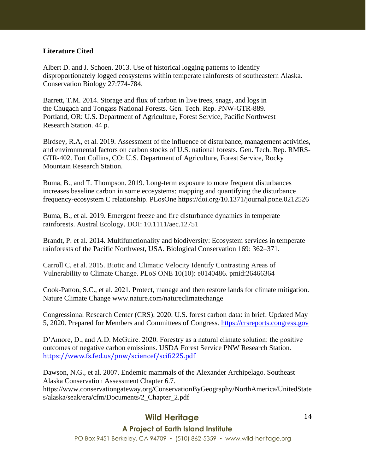#### **Literature Cited**

Albert D. and J. Schoen. 2013. Use of historical logging patterns to identify disproportionately logged ecosystems within temperate rainforests of southeastern Alaska. Conservation Biology 27:774-784.

Barrett, T.M. 2014. Storage and flux of carbon in live trees, snags, and logs in the Chugach and Tongass National Forests. Gen. Tech. Rep. PNW-GTR-889. Portland, OR: U.S. Department of Agriculture, Forest Service, Pacific Northwest Research Station. 44 p.

Birdsey, R.A, et al. 2019. Assessment of the influence of disturbance, management activities, and environmental factors on carbon stocks of U.S. national forests. Gen. Tech. Rep. RMRS-GTR-402. Fort Collins, CO: U.S. Department of Agriculture, Forest Service, Rocky Mountain Research Station.

Buma, B., and T. Thompson. 2019. Long-term exposure to more frequent disturbances increases baseline carbon in some ecosystems: mapping and quantifying the disturbance frequency-ecosystem C relationship. PLosOne https://doi.org/10.1371/journal.pone.0212526

Buma, B., et al. 2019. Emergent freeze and fire disturbance dynamics in temperate rainforests. Austral Ecology. DOI: 10.1111/aec.12751

Brandt, P. et al. 2014. Multifunctionality and biodiversity: Ecosystem services in temperate rainforests of the Pacific Northwest, USA. Biological Conservation 169: 362–371.

Carroll C, et al. 2015. Biotic and Climatic Velocity Identify Contrasting Areas of Vulnerability to Climate Change. PLoS ONE 10(10): e0140486. pmid:26466364

Cook-Patton, S.C., et al. 2021. Protect, manage and then restore lands for climate mitigation. Nature Climate Change www.nature.com/natureclimatechange

Congressional Research Center (CRS). 2020. U.S. forest carbon data: in brief. Updated May 5, 2020. Prepared for Members and Committees of Congress. [https://crsreports.congress.gov](https://crsreports.congress.gov/)

D'Amore, D., and A.D. McGuire. 2020. Forestry as a natural climate solution: the positive outcomes of negative carbon emissions. USDA Forest Service PNW Research Station. <https://www.fs.fed.us/pnw/sciencef/scifi225.pdf>

Dawson, N.G., et al. 2007. Endemic mammals of the Alexander Archipelago. Southeast Alaska Conservation Assessment Chapter 6.7. https://www.conservationgateway.org/ConservationByGeography/NorthAmerica/UnitedState s/alaska/seak/era/cfm/Documents/2\_Chapter\_2.pdf

## **Wild Heritage**

#### **A Project of Earth Island Institute**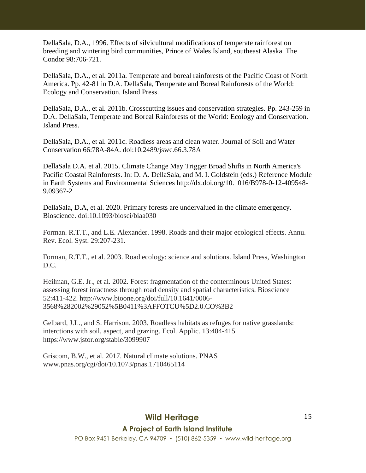DellaSala, D.A., 1996. Effects of silvicultural modifications of temperate rainforest on breeding and wintering bird communities, Prince of Wales Island, southeast Alaska. The Condor 98:706-721.

DellaSala, D.A., et al. 2011a. Temperate and boreal rainforests of the Pacific Coast of North America. Pp. 42-81 in D.A. DellaSala, Temperate and Boreal Rainforests of the World: Ecology and Conservation. Island Press.

DellaSala, D.A., et al. 2011b. Crosscutting issues and conservation strategies. Pp. 243-259 in D.A. DellaSala, Temperate and Boreal Rainforests of the World: Ecology and Conservation. Island Press.

DellaSala, D.A., et al. 2011c. Roadless areas and clean water. Journal of Soil and Water Conservation 66:78A-84A. doi:10.2489/jswc.66.3.78A

DellaSala D.A. et al. 2015. Climate Change May Trigger Broad Shifts in North America's Pacific Coastal Rainforests. In: D. A. DellaSala, and M. I. Goldstein (eds.) Reference Module in Earth Systems and Environmental Sciences http://dx.doi.org/10.1016/B978-0-12-409548- 9.09367-2

DellaSala, D.A, et al. 2020. Primary forests are undervalued in the climate emergency. Bioscience. doi:10.1093/biosci/biaa030

Forman. R.T.T., and L.E. Alexander. 1998. Roads and their major ecological effects. Annu. Rev. Ecol. Syst. 29:207-231.

Forman, R.T.T., et al. 2003. Road ecology: science and solutions. Island Press, Washington D.C.

Heilman, G.E. Jr., et al. 2002. Forest fragmentation of the conterminous United States: assessing forest intactness through road density and spatial characteristics. Bioscience 52:411-422. http://www.bioone.org/doi/full/10.1641/0006- 3568%282002%29052%5B0411%3AFFOTCU%5D2.0.CO%3B2

Gelbard, J.L., and S. Harrison. 2003. Roadless habitats as refuges for native grasslands: interctions with soil, aspect, and grazing. Ecol. Applic. 13:404-415 https://www.jstor.org/stable/3099907

Griscom, B.W., et al. 2017. Natural climate solutions. PNAS www.pnas.org/cgi/doi/10.1073/pnas.1710465114

# **Wild Heritage A Project of Earth Island Institute**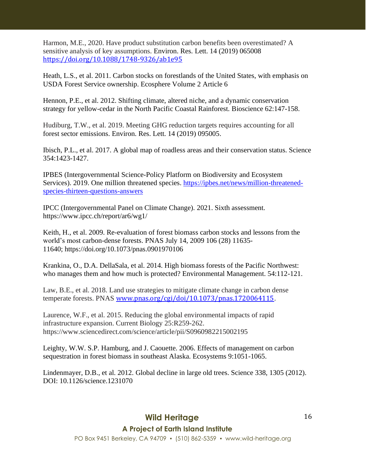Harmon, M.E., 2020. Have product substitution carbon benefits been overestimated? A sensitive analysis of key assumptions. Environ. Res. Lett. 14 (2019) 065008 <https://doi.org/10.1088/1748-9326/ab1e95>

Heath, L.S., et al. 2011. Carbon stocks on forestlands of the United States, with emphasis on USDA Forest Service ownership. Ecosphere Volume 2 Article 6

Hennon, P.E., et al. 2012. Shifting climate, altered niche, and a dynamic conservation strategy for yellow-cedar in the North Pacific Coastal Rainforest. Bioscience 62:147-158.

Hudiburg, T.W., et al. 2019. Meeting GHG reduction targets requires accounting for all forest sector emissions. Environ. Res. Lett. 14 (2019) 095005.

Ibisch, P.L., et al. 2017. A global map of roadless areas and their conservation status. Science 354:1423-1427.

IPBES (Intergovernmental Science-Policy Platform on Biodiversity and Ecosystem Services). 2019. One million threatened species. [https://ipbes.net/news/million-threatened](https://ipbes.net/news/million-threatened-species-thirteen-questions-answers)[species-thirteen-questions-answers](https://ipbes.net/news/million-threatened-species-thirteen-questions-answers)

IPCC (Intergovernmental Panel on Climate Change). 2021. Sixth assessment. https://www.ipcc.ch/report/ar6/wg1/

Keith, H., et al. 2009. Re-evaluation of forest biomass carbon stocks and lessons from the world's most carbon-dense forests. PNAS July 14, 2009 106 (28) 11635- 11640; <https://doi.org/10.1073/pnas.0901970106>

Krankina, O., D.A. DellaSala, et al. 2014. High biomass forests of the Pacific Northwest: who manages them and how much is protected? Environmental Management. 54:112-121.

Law, B.E., et al. 2018. Land use strategies to mitigate climate change in carbon dense temperate forests. PNAS [www.pnas.org/cgi/doi/10.1073/pnas.1720064115](http://www.pnas.org/cgi/doi/10.1073/pnas.1720064115).

Laurence, W.F., et al. 2015. Reducing the global environmental impacts of rapid infrastructure expansion. Current Biology 25:R259-262. https://www.sciencedirect.com/science/article/pii/S0960982215002195

Leighty, W.W. S.P. Hamburg, and J. Caouette. 2006. Effects of management on carbon sequestration in forest biomass in southeast Alaska. Ecosystems 9:1051-1065.

Lindenmayer, D.B., et al. 2012. Global decline in large old trees. Science 338, 1305 (2012). DOI: 10.1126/science.1231070

# **Wild Heritage A Project of Earth Island Institute**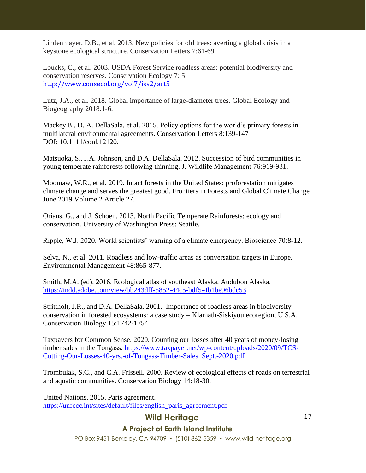Lindenmayer, D.B., et al. 2013. New policies for old trees: averting a global crisis in a keystone ecological structure. Conservation Letters 7:61-69.

Loucks, C., et al. 2003. USDA Forest Service roadless areas: potential biodiversity and conservation reserves. Conservation Ecology 7: 5 <http://www.consecol.org/vol7/iss2/art5>

Lutz, J.A., et al. 2018. Global importance of large-diameter trees. Global Ecology and Biogeography 2018:1-6.

Mackey B., D. A. DellaSala, et al. 2015. Policy options for the world's primary forests in multilateral environmental agreements. Conservation Letters 8:139-147 DOI: 10.1111/conl.12120.

Matsuoka, S., J.A. Johnson, and D.A. DellaSala. 2012. Succession of bird communities in young temperate rainforests following thinning. J. Wildlife Management 76:919-931.

Moomaw, W.R., et al. 2019. Intact forests in the United States: proforestation mitigates climate change and serves the greatest good. Frontiers in Forests and Global Climate Change June 2019 Volume 2 Article 27.

Orians, G., and J. Schoen. 2013. North Pacific Temperate Rainforests: ecology and conservation. University of Washington Press: Seattle.

Ripple, W.J. 2020. World scientists' warning of a climate emergency. Bioscience 70:8-12.

Selva, N., et al. 2011. Roadless and low-traffic areas as conversation targets in Europe. Environmental Management 48:865-877.

Smith, M.A. (ed). 2016. Ecological atlas of southeast Alaska. Audubon Alaska. [https://indd.adobe.com/view/bb243dff-5852-44c5-bdf5-4b1be96bdc53.](https://indd.adobe.com/view/bb243dff-5852-44c5-bdf5-4b1be96bdc53)

Strittholt, J.R., and D.A. DellaSala. 2001. Importance of roadless areas in biodiversity conservation in forested ecosystems: a case study – Klamath-Siskiyou ecoregion, U.S.A. Conservation Biology 15:1742-1754.

Taxpayers for Common Sense. 2020. Counting our losses after 40 years of money-losing timber sales in the Tongass. [https://www.taxpayer.net/wp-content/uploads/2020/09/TCS-](https://www.taxpayer.net/wp-content/uploads/2020/09/TCS-Cutting-Our-Losses-40-yrs.-of-Tongass-Timber-Sales_Sept.-2020.pdf)[Cutting-Our-Losses-40-yrs.-of-Tongass-Timber-Sales\\_Sept.-2020.pdf](https://www.taxpayer.net/wp-content/uploads/2020/09/TCS-Cutting-Our-Losses-40-yrs.-of-Tongass-Timber-Sales_Sept.-2020.pdf)

Trombulak, S.C., and C.A. Frissell. 2000. Review of ecological effects of roads on terrestrial and aquatic communities. Conservation Biology 14:18-30.

United Nations. 2015. Paris agreement. [https://unfccc.int/sites/default/files/english\\_paris\\_agreement.pdf](https://unfccc.int/sites/default/files/english_paris_agreement.pdf)

### **Wild Heritage A Project of Earth Island Institute**